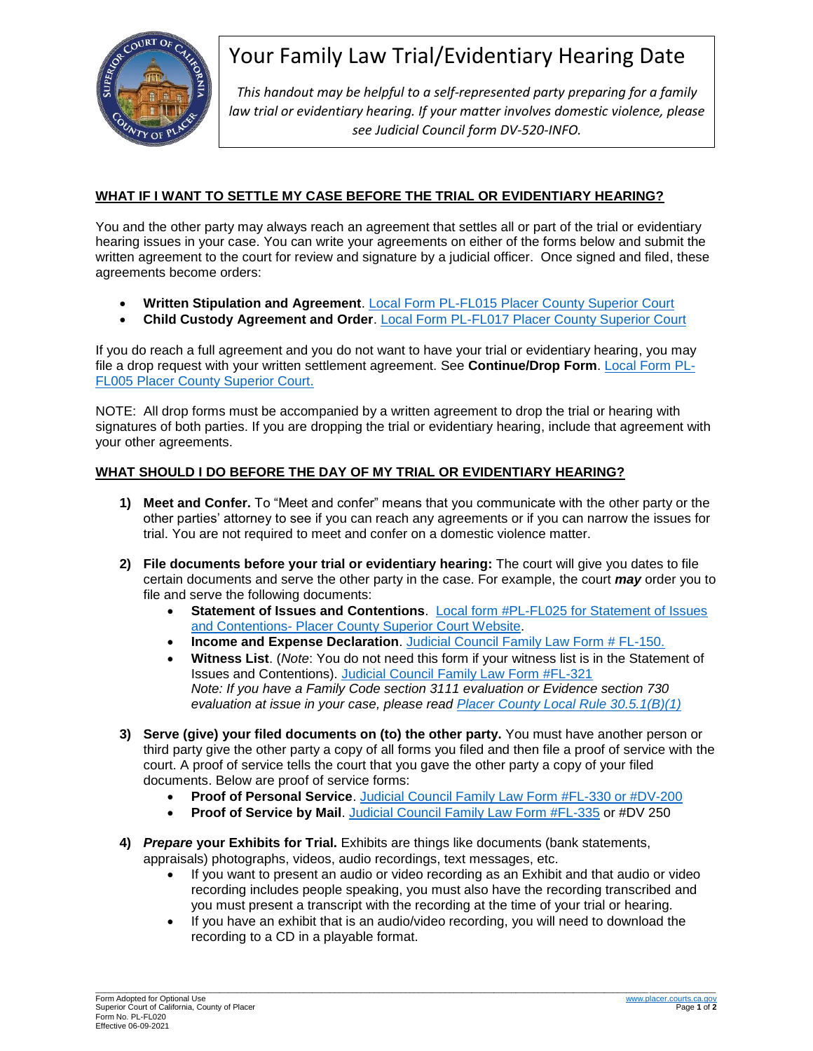

# Your Family Law Trial/Evidentiary Hearing Date

*This handout may be helpful to a self-represented party preparing for a family law trial or evidentiary hearing. If your matter involves domestic violence, please see Judicial Council form DV-520-INFO.*

### **WHAT IF I WANT TO SETTLE MY CASE BEFORE THE TRIAL OR EVIDENTIARY HEARING?**

You and the other party may always reach an agreement that settles all or part of the trial or evidentiary hearing issues in your case. You can write your agreements on either of the forms below and submit the written agreement to the court for review and signature by a judicial officer. Once signed and filed, these agreements become orders:

- **Written Stipulation and Agreement**. [Local Form PL-FL015](http://www.placer.courts.ca.gov/forms/family/PL-FL015.pdf) Placer County Superior Court
- **Child Custody Agreement and Order**. [Local Form PL-FL017](http://www.placer.courts.ca.gov/forms/family/PL-FL017.pdf) Placer County Superior Court

If you do reach a full agreement and you do not want to have your trial or evidentiary hearing, you may file a drop request with your written settlement agreement. See **Continue/Drop Form**. [Local](http://www.placer.courts.ca.gov/forms/family/PL-FL005.pdf) Form PL-[FL005](http://www.placer.courts.ca.gov/forms/family/PL-FL005.pdf) Placer County Superior Court.

NOTE: All drop forms must be accompanied by a written agreement to drop the trial or hearing with signatures of both parties. If you are dropping the trial or evidentiary hearing, include that agreement with your other agreements.

### **WHAT SHOULD I DO BEFORE THE DAY OF MY TRIAL OR EVIDENTIARY HEARING?**

- **1) Meet and Confer.** To "Meet and confer" means that you communicate with the other party or the other parties' attorney to see if you can reach any agreements or if you can narrow the issues for trial. You are not required to meet and confer on a domestic violence matter.
- **2) File documents before your trial or evidentiary hearing:** The court will give you dates to file certain documents and serve the other party in the case. For example, the court *may* order you to file and serve the following documents:
	- **Statement of Issues and Contentions**. [Local form #PL-FL025 for Statement of Issues](http://www.placer.courts.ca.gov/forms/family/PL-FL025.pdf)  and Contentions- [Placer County Superior Court Website.](http://www.placer.courts.ca.gov/forms/family/PL-FL025.pdf)
	- **Income and Expense Declaration**. [Judicial Council Family Law Form # FL-150.](https://www.courts.ca.gov/documents/fl150.pdf)
	- **Witness List**. (*Note*: You do not need this form if your witness list is in the Statement of Issues and Contentions). [Judicial Council Family Law Form #FL-321](file:///C:/Users/jhopper/AppData/Local/Microsoft/Windows/INetCache/Content.Outlook/KKHNJX6K/Judicial%20Council%20Family%20Law%20Form%23FL-321) *Note: If you have a Family Code section 3111 evaluation or Evidence section 730 evaluation at issue in your case, please read [Placer County Local Rule 30.5.1\(B\)\(1\)](http://www.placer.courts.ca.gov/general-local-rules.shtml)*
- **3) Serve (give) your filed documents on (to) the other party.** You must have another person or third party give the other party a copy of all forms you filed and then file a proof of service with the court. A proof of service tells the court that you gave the other party a copy of your filed documents. Below are proof of service forms:
	- **Proof of Personal Service**. [Judicial Council Family Law Form #FL-330](https://www.courts.ca.gov/documents/fl330.pdf) or #DV-200
	- **Proof of Service by Mail**. [Judicial Council Family Law Form #FL-335](https://www.courts.ca.gov/documents/fl335.pdf) or #DV 250
- **4)** *Prepare* **your Exhibits for Trial.** Exhibits are things like documents (bank statements, appraisals) photographs, videos, audio recordings, text messages, etc.
	- If you want to present an audio or video recording as an Exhibit and that audio or video recording includes people speaking, you must also have the recording transcribed and you must present a transcript with the recording at the time of your trial or hearing.
	- If you have an exhibit that is an audio/video recording, you will need to download the recording to a CD in a playable format.